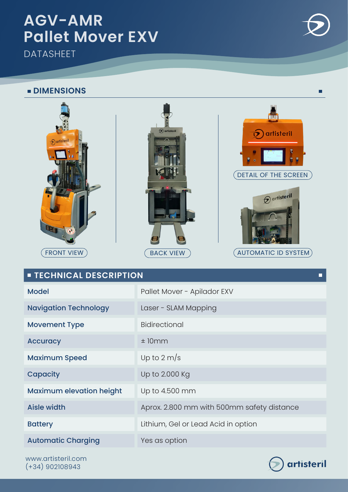## **AGV-AMR Pallet Mover EXV**

**DATASHEET** 

#### **DIMENSIONS**



Aisle width Aprox. 2.800 mm with 500mm safety distance

Battery **Exercise Exercise Exercise Acid in option** 

Maximum elevation height Up to 4.500 mm

Automatic Charging **Yes as option** 

www.artisteril.com (+34) 902108943